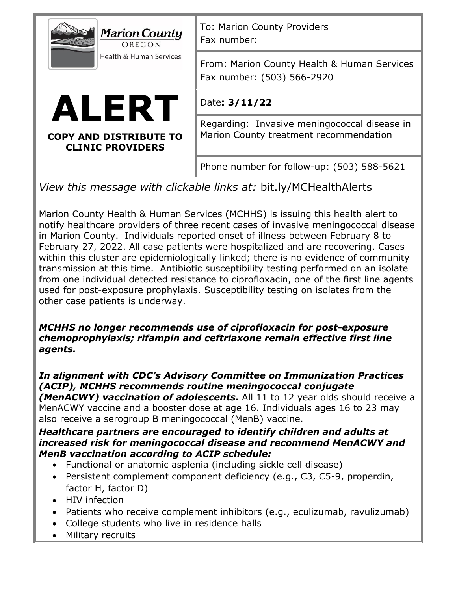| <b>Marion County</b><br>OREGON<br><b>Health &amp; Human Services</b>                                                                                                                                                                                                                                                                                                                                                                                                                                                                   | To: Marion County Providers<br>Fax number:                                             |
|----------------------------------------------------------------------------------------------------------------------------------------------------------------------------------------------------------------------------------------------------------------------------------------------------------------------------------------------------------------------------------------------------------------------------------------------------------------------------------------------------------------------------------------|----------------------------------------------------------------------------------------|
|                                                                                                                                                                                                                                                                                                                                                                                                                                                                                                                                        | From: Marion County Health & Human Services<br>Fax number: (503) 566-2920              |
| ALERT<br><b>COPY AND DISTRIBUTE TO</b><br><b>CLINIC PROVIDERS</b>                                                                                                                                                                                                                                                                                                                                                                                                                                                                      | Date: 3/11/22                                                                          |
|                                                                                                                                                                                                                                                                                                                                                                                                                                                                                                                                        | Regarding: Invasive meningococcal disease in<br>Marion County treatment recommendation |
|                                                                                                                                                                                                                                                                                                                                                                                                                                                                                                                                        | Phone number for follow-up: (503) 588-5621                                             |
| $\mathcal{L}$ is the state of the state of the state of the state of the state of the state of the state of the state of the state of the state of the state of the state of the state of the state of the state of the state of t<br>$\mathbf{1}$ and $\mathbf{1}$ and $\mathbf{1}$ and $\mathbf{1}$ and $\mathbf{1}$ and $\mathbf{1}$ and $\mathbf{1}$ and $\mathbf{1}$ and $\mathbf{1}$ and $\mathbf{1}$ and $\mathbf{1}$ and $\mathbf{1}$ and $\mathbf{1}$ and $\mathbf{1}$ and $\mathbf{1}$ and $\mathbf{1}$ and $\mathbf{1}$ and |                                                                                        |

*View this message with clickable links at:* bit.ly/MCHealthAlerts

Marion County Health & Human Services (MCHHS) is issuing this health alert to notify healthcare providers of three recent cases of invasive meningococcal disease in Marion County. Individuals reported onset of illness between February 8 to February 27, 2022. All case patients were hospitalized and are recovering. Cases within this cluster are epidemiologically linked; there is no evidence of community transmission at this time. Antibiotic susceptibility testing performed on an isolate from one individual detected resistance to ciprofloxacin, one of the first line agents used for post-exposure prophylaxis. Susceptibility testing on isolates from the other case patients is underway.

## *MCHHS no longer recommends use of ciprofloxacin for post-exposure chemoprophylaxis; rifampin and ceftriaxone remain effective first line agents.*

*In alignment with CDC's Advisory Committee on Immunization Practices (ACIP), MCHHS recommends routine meningococcal conjugate (MenACWY) vaccination of adolescents.* All 11 to 12 year olds should receive a MenACWY vaccine and a booster dose at age 16. Individuals ages 16 to 23 may also receive a serogroup B meningococcal (MenB) vaccine.

## *Healthcare partners are encouraged to identify children and adults at increased risk for meningococcal disease and recommend MenACWY and MenB vaccination according to ACIP schedule:*

- Functional or anatomic asplenia (including sickle cell disease)
- Persistent complement component deficiency (e.g., C3, C5-9, properdin, factor H, factor D)
- HIV infection
- Patients who receive complement inhibitors (e.g., eculizumab, ravulizumab)
- College students who live in residence halls
- Military recruits